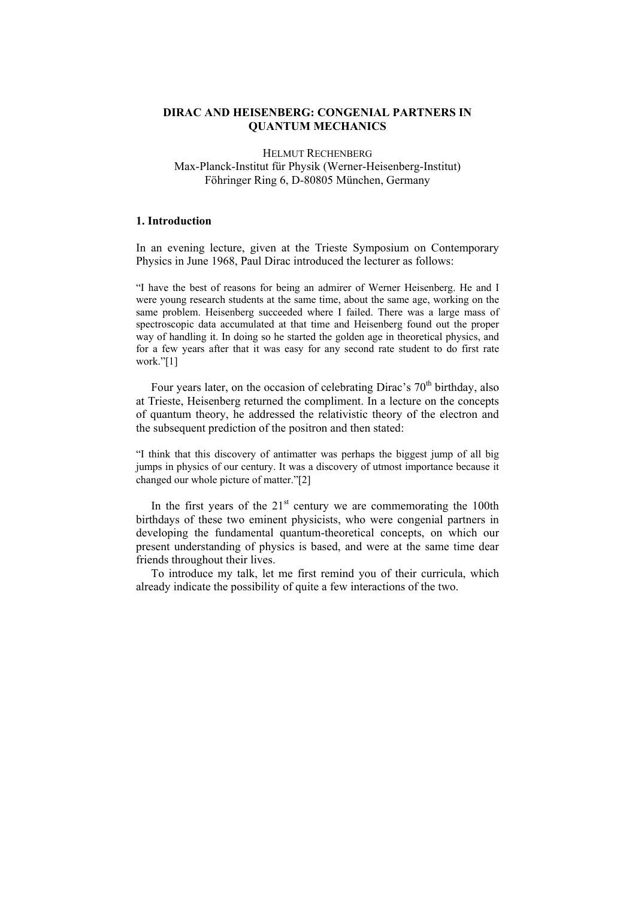# **DIRAC AND HEISENBERG: CONGENIAL PARTNERS IN QUANTUM MECHANICS**

HELMUT RECHENBERG Max-Planck-Institut für Physik (Werner-Heisenberg-Institut) Föhringer Ring 6, D-80805 München, Germany

#### **1. Introduction**

In an evening lecture, given at the Trieste Symposium on Contemporary Physics in June 1968, Paul Dirac introduced the lecturer as follows:

ìI have the best of reasons for being an admirer of Werner Heisenberg. He and I were young research students at the same time, about the same age, working on the same problem. Heisenberg succeeded where I failed. There was a large mass of spectroscopic data accumulated at that time and Heisenberg found out the proper way of handling it. In doing so he started the golden age in theoretical physics, and for a few years after that it was easy for any second rate student to do first rate work. $^{\prime\prime}[1]$ 

Four years later, on the occasion of celebrating Dirac's  $70<sup>th</sup>$  birthday, also at Trieste, Heisenberg returned the compliment. In a lecture on the concepts of quantum theory, he addressed the relativistic theory of the electron and the subsequent prediction of the positron and then stated:

"I think that this discovery of antimatter was perhaps the biggest jump of all big jumps in physics of our century. It was a discovery of utmost importance because it changed our whole picture of matter.<sup>no</sup>[2]

In the first years of the  $21<sup>st</sup>$  century we are commemorating the 100th birthdays of these two eminent physicists, who were congenial partners in developing the fundamental quantum-theoretical concepts, on which our present understanding of physics is based, and were at the same time dear friends throughout their lives.

To introduce my talk, let me first remind you of their curricula, which already indicate the possibility of quite a few interactions of the two.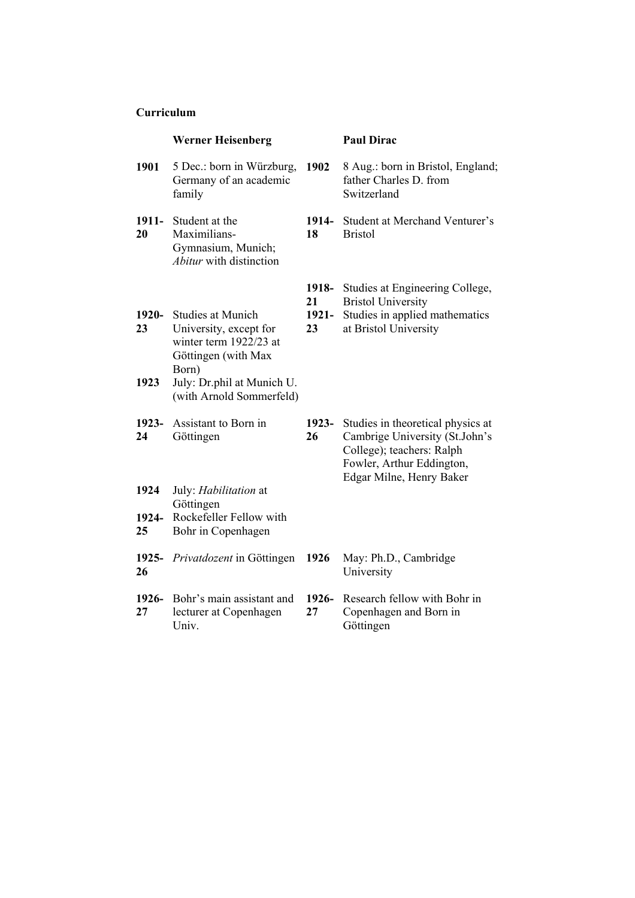# **Curriculum**

|                     | <b>Werner Heisenberg</b>                                                                                                                                               |                            | <b>Paul Dirac</b>                                                                                                                                         |
|---------------------|------------------------------------------------------------------------------------------------------------------------------------------------------------------------|----------------------------|-----------------------------------------------------------------------------------------------------------------------------------------------------------|
| 1901                | 5 Dec.: born in Würzburg,<br>Germany of an academic<br>family                                                                                                          | 1902                       | 8 Aug.: born in Bristol, England;<br>father Charles D. from<br>Switzerland                                                                                |
| 1911-<br>20         | Student at the<br>Maximilians-<br>Gymnasium, Munich;<br>Abitur with distinction                                                                                        | 1914-<br>18                | Student at Merchand Venturer's<br><b>Bristol</b>                                                                                                          |
| 1920-<br>23<br>1923 | <b>Studies at Munich</b><br>University, except for<br>winter term 1922/23 at<br>Göttingen (with Max<br>Born)<br>July: Dr.phil at Munich U.<br>(with Arnold Sommerfeld) | 1918-<br>21<br>1921-<br>23 | Studies at Engineering College,<br><b>Bristol University</b><br>Studies in applied mathematics<br>at Bristol University                                   |
| 1923-<br>24         | Assistant to Born in<br>Göttingen                                                                                                                                      | 1923-<br>26                | Studies in theoretical physics at<br>Cambrige University (St.John's<br>College); teachers: Ralph<br>Fowler, Arthur Eddington,<br>Edgar Milne, Henry Baker |
| 1924<br>1924-<br>25 | July: Habilitation at<br>Göttingen<br>Rockefeller Fellow with<br>Bohr in Copenhagen                                                                                    |                            |                                                                                                                                                           |
| 1925-<br>26         | Privatdozent in Göttingen                                                                                                                                              | 1926                       | May: Ph.D., Cambridge<br>University                                                                                                                       |
| 1926-<br>27         | Bohr's main assistant and<br>lecturer at Copenhagen<br>Univ.                                                                                                           | 1926-<br>27                | Research fellow with Bohr in<br>Copenhagen and Born in<br>Göttingen                                                                                       |
|                     |                                                                                                                                                                        |                            |                                                                                                                                                           |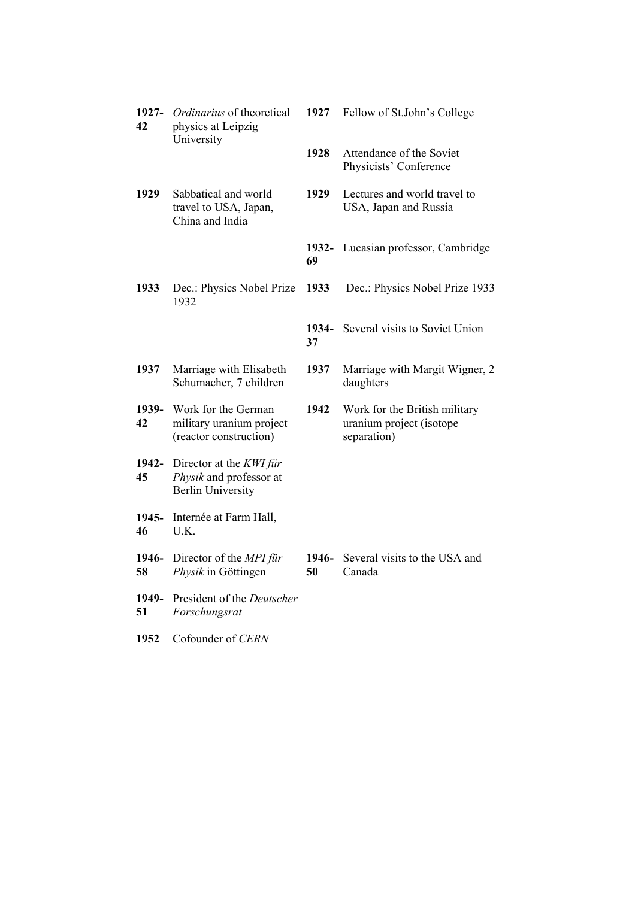| 1927-<br>42 | Ordinarius of theoretical<br>physics at Leipzig<br>University                         | 1927        | Fellow of St.John's College                                              |
|-------------|---------------------------------------------------------------------------------------|-------------|--------------------------------------------------------------------------|
|             |                                                                                       | 1928        | Attendance of the Soviet<br>Physicists' Conference                       |
| 1929        | Sabbatical and world<br>travel to USA, Japan,<br>China and India                      | 1929        | Lectures and world travel to<br>USA, Japan and Russia                    |
|             |                                                                                       | 1932-<br>69 | Lucasian professor, Cambridge                                            |
| 1933        | Dec.: Physics Nobel Prize<br>1932                                                     | 1933        | Dec.: Physics Nobel Prize 1933                                           |
|             |                                                                                       | 1934-<br>37 | Several visits to Soviet Union                                           |
| 1937        | Marriage with Elisabeth<br>Schumacher, 7 children                                     | 1937        | Marriage with Margit Wigner, 2<br>daughters                              |
| 1939-<br>42 | Work for the German<br>military uranium project<br>(reactor construction)             | 1942        | Work for the British military<br>uranium project (isotope<br>separation) |
| 1942-<br>45 | Director at the <i>KWI für</i><br>Physik and professor at<br><b>Berlin University</b> |             |                                                                          |
| 1945-<br>46 | Internée at Farm Hall,<br>U.K.                                                        |             |                                                                          |
| 1946-<br>58 | Director of the <i>MPI für</i><br>Physik in Göttingen                                 | 1946-<br>50 | Several visits to the USA and<br>Canada                                  |
| 1949-<br>51 | President of the Deutscher<br>Forschungsrat                                           |             |                                                                          |
| 1952        | Cofounder of CERN                                                                     |             |                                                                          |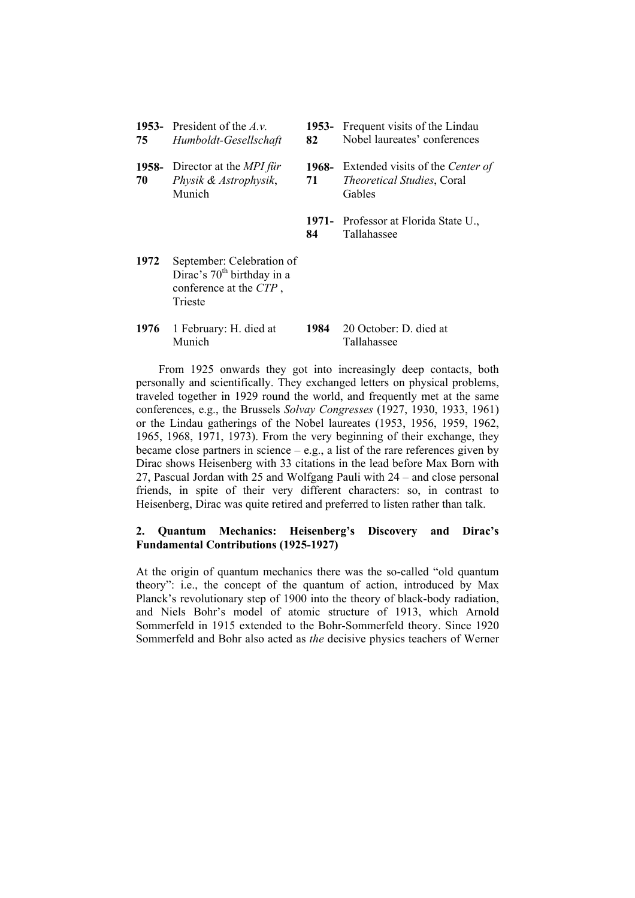| 75          | 1953- President of the $A.v.$<br>Humboldt-Gesellschaft                                         | 1953-<br>82 | Frequent visits of the Lindau<br>Nobel laureates' conferences                        |
|-------------|------------------------------------------------------------------------------------------------|-------------|--------------------------------------------------------------------------------------|
| 1958-<br>70 | Director at the <i>MPI für</i><br>Physik & Astrophysik,<br>Munich                              | 71          | 1968 Extended visits of the Center of<br><i>Theoretical Studies, Coral</i><br>Gables |
|             |                                                                                                | 84          | 1971- Professor at Florida State U.,<br>Tallahassee                                  |
| 1972        | September: Celebration of<br>Dirac's $70th$ birthday in a<br>conference at the CTP,<br>Trieste |             |                                                                                      |
| 1976        | 1 February: H. died at<br>Munich                                                               | 1984        | 20 October: D. died at<br>Tallahassee                                                |

From 1925 onwards they got into increasingly deep contacts, both personally and scientifically. They exchanged letters on physical problems, traveled together in 1929 round the world, and frequently met at the same conferences, e.g., the Brussels *Solvay Congresses* (1927, 1930, 1933, 1961) or the Lindau gatherings of the Nobel laureates (1953, 1956, 1959, 1962, 1965, 1968, 1971, 1973). From the very beginning of their exchange, they became close partners in science  $-$  e.g., a list of the rare references given by Dirac shows Heisenberg with 33 citations in the lead before Max Born with 27, Pascual Jordan with  $25$  and Wolfgang Pauli with  $24 -$  and close personal friends, in spite of their very different characters: so, in contrast to Heisenberg, Dirac was quite retired and preferred to listen rather than talk.

# **2. Quantum Mechanics: Heisenbergís Discovery and Diracís Fundamental Contributions (1925-1927)**

At the origin of quantum mechanics there was the so-called "old quantum" theory": i.e., the concept of the quantum of action, introduced by Max Planck's revolutionary step of  $1900$  into the theory of black-body radiation, and Niels Bohr's model of atomic structure of 1913, which Arnold Sommerfeld in 1915 extended to the Bohr-Sommerfeld theory. Since 1920 Sommerfeld and Bohr also acted as *the* decisive physics teachers of Werner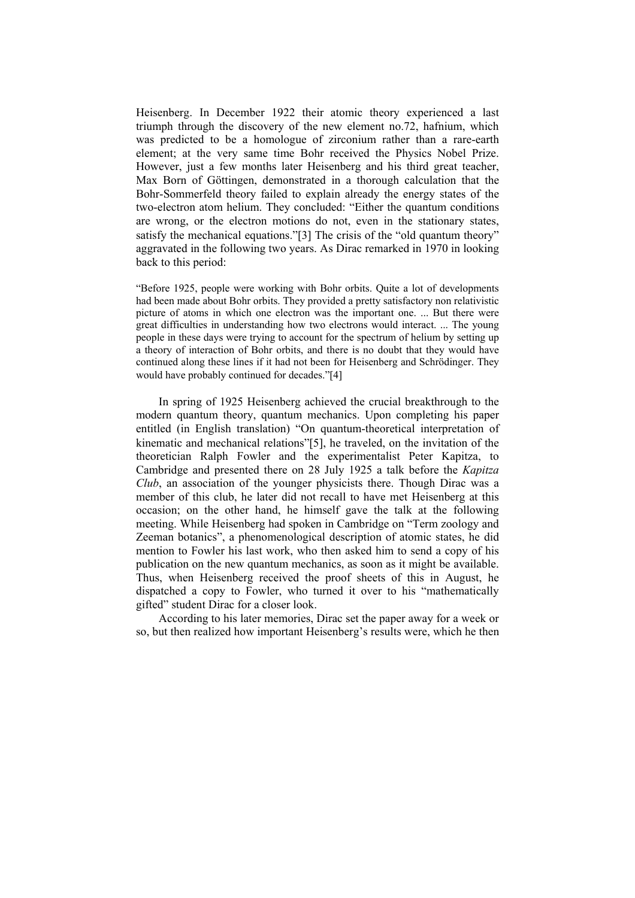Heisenberg. In December 1922 their atomic theory experienced a last triumph through the discovery of the new element no.72, hafnium, which was predicted to be a homologue of zirconium rather than a rare-earth element; at the very same time Bohr received the Physics Nobel Prize. However, just a few months later Heisenberg and his third great teacher, Max Born of Göttingen, demonstrated in a thorough calculation that the Bohr-Sommerfeld theory failed to explain already the energy states of the two-electron atom helium. They concluded: "Either the quantum conditions are wrong, or the electron motions do not, even in the stationary states, satisfy the mechanical equations."[3] The crisis of the "old quantum theory" aggravated in the following two years. As Dirac remarked in 1970 in looking back to this period:

ìBefore 1925, people were working with Bohr orbits. Quite a lot of developments had been made about Bohr orbits. They provided a pretty satisfactory non relativistic picture of atoms in which one electron was the important one. ... But there were great difficulties in understanding how two electrons would interact. ... The young people in these days were trying to account for the spectrum of helium by setting up a theory of interaction of Bohr orbits, and there is no doubt that they would have continued along these lines if it had not been for Heisenberg and Schrödinger. They would have probably continued for decades."[4]

In spring of 1925 Heisenberg achieved the crucial breakthrough to the modern quantum theory, quantum mechanics. Upon completing his paper entitled (in English translation) "On quantum-theoretical interpretation of kinematic and mechanical relations"[5], he traveled, on the invitation of the theoretician Ralph Fowler and the experimentalist Peter Kapitza, to Cambridge and presented there on 28 July 1925 a talk before the *Kapitza Club*, an association of the younger physicists there. Though Dirac was a member of this club, he later did not recall to have met Heisenberg at this occasion; on the other hand, he himself gave the talk at the following meeting. While Heisenberg had spoken in Cambridge on "Term zoology and Zeeman botanics", a phenomenological description of atomic states, he did mention to Fowler his last work, who then asked him to send a copy of his publication on the new quantum mechanics, as soon as it might be available. Thus, when Heisenberg received the proof sheets of this in August, he dispatched a copy to Fowler, who turned it over to his "mathematically gifted" student Dirac for a closer look.

According to his later memories, Dirac set the paper away for a week or so, but then realized how important Heisenberg's results were, which he then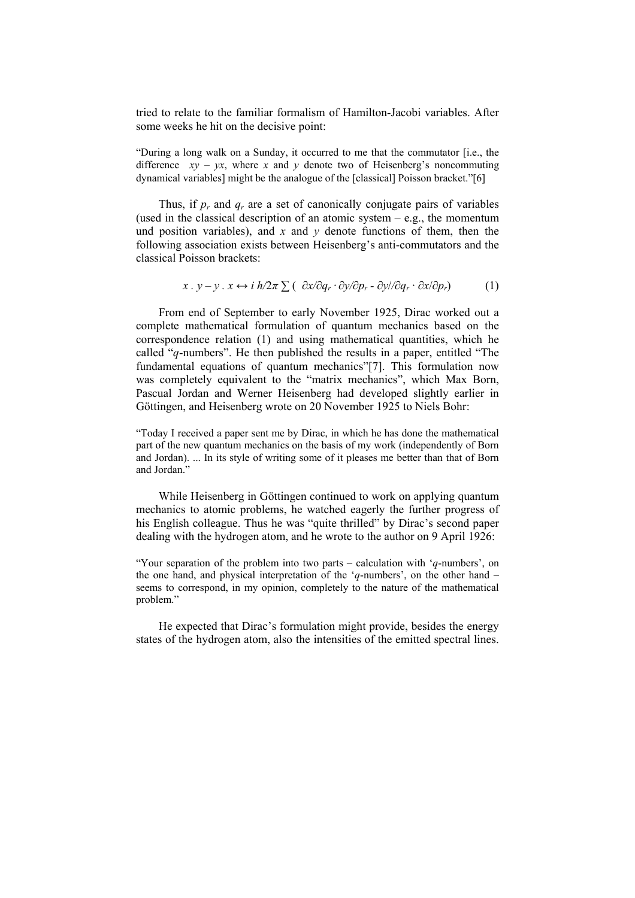tried to relate to the familiar formalism of Hamilton-Jacobi variables. After some weeks he hit on the decisive point:

ìDuring a long walk on a Sunday, it occurred to me that the commutator [i.e., the difference  $xy - yx$ , where *x* and *y* denote two of Heisenberg's noncommuting dynamical variables] might be the analogue of the [classical] Poisson bracket."[6]

Thus, if  $p_r$  and  $q_r$  are a set of canonically conjugate pairs of variables (used in the classical description of an atomic system  $-e.g.,$  the momentum und position variables), and *x* and *y* denote functions of them, then the following association exists between Heisenberg's anti-commutators and the classical Poisson brackets:

$$
x \cdot y - y \cdot x \leftrightarrow i \; h/2\pi \sum \left( \; \partial x/\partial q_r \cdot \partial y/\partial p_r - \partial y/\partial q_r \cdot \partial x/\partial p_r \right) \tag{1}
$$

From end of September to early November 1925, Dirac worked out a complete mathematical formulation of quantum mechanics based on the correspondence relation (1) and using mathematical quantities, which he called  $a$ -numbers". He then published the results in a paper, entitled "The fundamental equations of quantum mechanics"[7]. This formulation now was completely equivalent to the "matrix mechanics", which Max Born, Pascual Jordan and Werner Heisenberg had developed slightly earlier in Göttingen, and Heisenberg wrote on 20 November 1925 to Niels Bohr:

ìToday I received a paper sent me by Dirac, in which he has done the mathematical part of the new quantum mechanics on the basis of my work (independently of Born and Jordan). ... In its style of writing some of it pleases me better than that of Born and Jordan."

While Heisenberg in Göttingen continued to work on applying quantum mechanics to atomic problems, he watched eagerly the further progress of his English colleague. Thus he was "quite thrilled" by Dirac's second paper dealing with the hydrogen atom, and he wrote to the author on 9 April 1926:

External via the problem into two parts  $\alpha$  calculation with 'q-numbers', on the one hand, and physical interpretation of the  $q$ -numbers', on the other hand  $-\frac{1}{q}$ seems to correspond, in my opinion, completely to the nature of the mathematical problem."

He expected that Dirac's formulation might provide, besides the energy states of the hydrogen atom, also the intensities of the emitted spectral lines.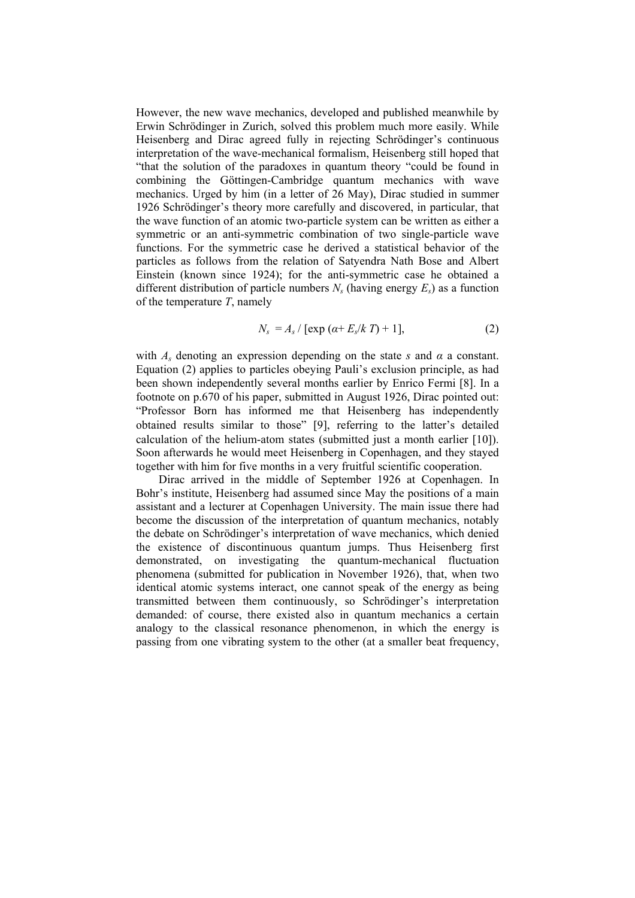However, the new wave mechanics, developed and published meanwhile by Erwin Schrödinger in Zurich, solved this problem much more easily. While Heisenberg and Dirac agreed fully in rejecting Schrödinger's continuous interpretation of the wave-mechanical formalism, Heisenberg still hoped that "that the solution of the paradoxes in quantum theory "could be found in combining the Göttingen-Cambridge quantum mechanics with wave mechanics. Urged by him (in a letter of 26 May), Dirac studied in summer 1926 Schrödinger's theory more carefully and discovered, in particular, that the wave function of an atomic two-particle system can be written as either a symmetric or an anti-symmetric combination of two single-particle wave functions. For the symmetric case he derived a statistical behavior of the particles as follows from the relation of Satyendra Nath Bose and Albert Einstein (known since 1924); for the anti-symmetric case he obtained a different distribution of particle numbers  $N_s$  (having energy  $E_s$ ) as a function of the temperature *T*, namely

$$
N_s = A_s / \left[ \exp \left( \alpha + E_s / k \, T \right) + 1 \right],\tag{2}
$$

with  $A_s$  denoting an expression depending on the state *s* and  $\alpha$  a constant. Equation (2) applies to particles obeying Pauli's exclusion principle, as had been shown independently several months earlier by Enrico Fermi [8]. In a footnote on p.670 of his paper, submitted in August 1926, Dirac pointed out: ìProfessor Born has informed me that Heisenberg has independently obtained results similar to those" [9], referring to the latter's detailed calculation of the helium-atom states (submitted just a month earlier [10]). Soon afterwards he would meet Heisenberg in Copenhagen, and they stayed together with him for five months in a very fruitful scientific cooperation.

Dirac arrived in the middle of September 1926 at Copenhagen. In Bohr's institute, Heisenberg had assumed since May the positions of a main assistant and a lecturer at Copenhagen University. The main issue there had become the discussion of the interpretation of quantum mechanics, notably the debate on Schrödinger's interpretation of wave mechanics, which denied the existence of discontinuous quantum jumps. Thus Heisenberg first demonstrated, on investigating the quantum-mechanical fluctuation phenomena (submitted for publication in November 1926), that, when two identical atomic systems interact, one cannot speak of the energy as being transmitted between them continuously, so Schrödinger's interpretation demanded: of course, there existed also in quantum mechanics a certain analogy to the classical resonance phenomenon, in which the energy is passing from one vibrating system to the other (at a smaller beat frequency,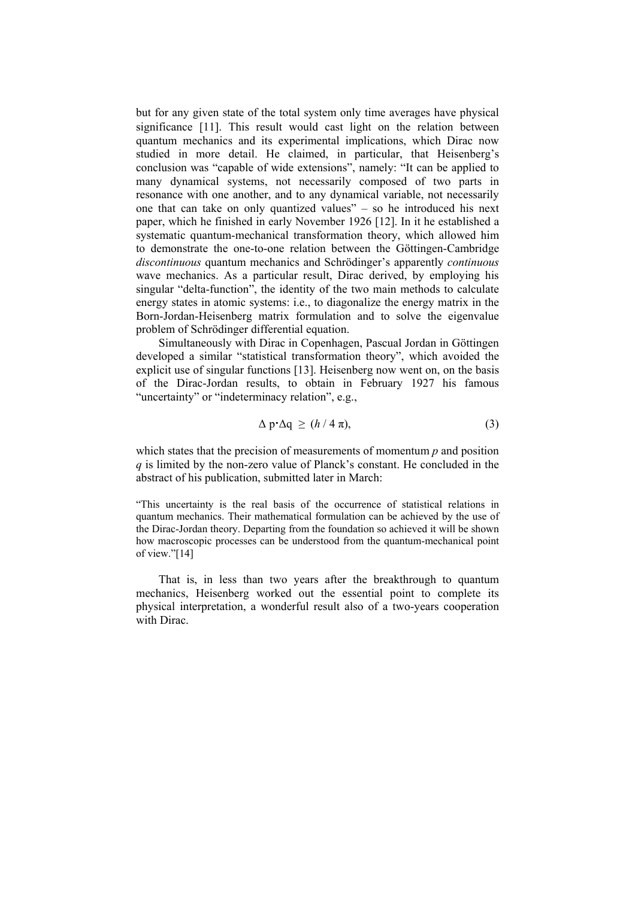but for any given state of the total system only time averages have physical significance [11]. This result would cast light on the relation between quantum mechanics and its experimental implications, which Dirac now studied in more detail. He claimed, in particular, that Heisenberg's conclusion was "capable of wide extensions", namely: "It can be applied to many dynamical systems, not necessarily composed of two parts in resonance with one another, and to any dynamical variable, not necessarily one that can take on only quantized values"  $-$  so he introduced his next paper, which he finished in early November 1926 [12]. In it he established a systematic quantum-mechanical transformation theory, which allowed him to demonstrate the one-to-one relation between the Göttingen-Cambridge *discontinuous* quantum mechanics and Schrödinger's apparently *continuous* wave mechanics. As a particular result, Dirac derived, by employing his singular "delta-function", the identity of the two main methods to calculate energy states in atomic systems: i.e., to diagonalize the energy matrix in the Born-Jordan-Heisenberg matrix formulation and to solve the eigenvalue problem of Schrödinger differential equation.

Simultaneously with Dirac in Copenhagen, Pascual Jordan in Göttingen developed a similar "statistical transformation theory", which avoided the explicit use of singular functions [13]. Heisenberg now went on, on the basis of the Dirac-Jordan results, to obtain in February 1927 his famous "uncertainty" or "indeterminacy relation", e.g.,

$$
\Delta p \cdot \Delta q \ge (h/4 \pi), \tag{3}
$$

which states that the precision of measurements of momentum *p* and position  $q$  is limited by the non-zero value of Planck's constant. He concluded in the abstract of his publication, submitted later in March:

ìThis uncertainty is the real basis of the occurrence of statistical relations in quantum mechanics. Their mathematical formulation can be achieved by the use of the Dirac-Jordan theory. Departing from the foundation so achieved it will be shown how macroscopic processes can be understood from the quantum-mechanical point of view." $[14]$ 

That is, in less than two years after the breakthrough to quantum mechanics, Heisenberg worked out the essential point to complete its physical interpretation, a wonderful result also of a two-years cooperation with Dirac.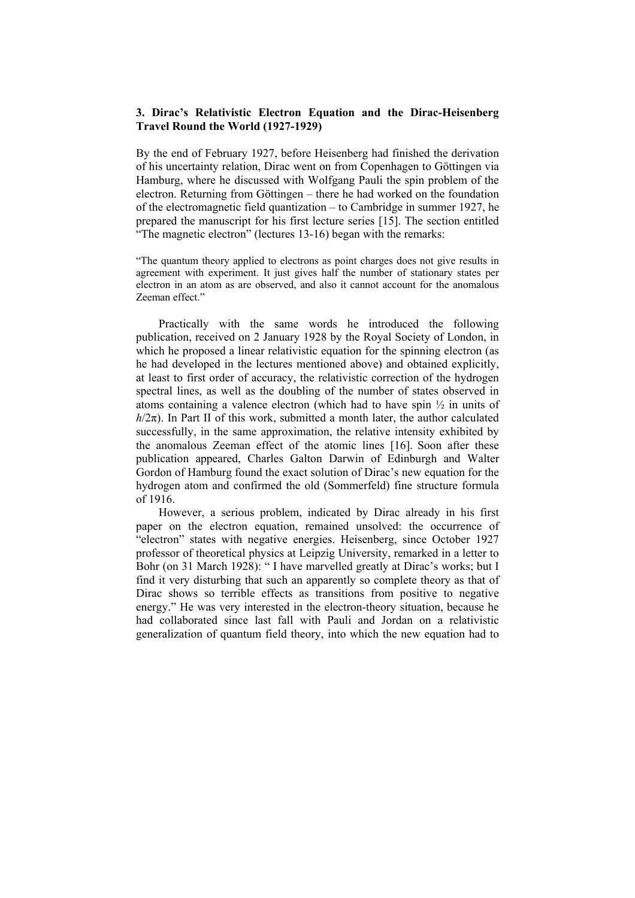## **3. Diracís Relativistic Electron Equation and the Dirac-Heisenberg Travel Round the World (1927-1929)**

By the end of February 1927, before Heisenberg had finished the derivation of his uncertainty relation, Dirac went on from Copenhagen to Göttingen via Hamburg, where he discussed with Wolfgang Pauli the spin problem of the electron. Returning from Göttingen  $-$  there he had worked on the foundation of the electromagnetic field quantization  $-$  to Cambridge in summer 1927, he prepared the manuscript for his first lecture series [15]. The section entitled ìThe magnetic electronî (lectures 13-16) began with the remarks:

ìThe quantum theory applied to electrons as point charges does not give results in agreement with experiment. It just gives half the number of stationary states per electron in an atom as are observed, and also it cannot account for the anomalous Zeeman effect.<sup>"</sup>

Practically with the same words he introduced the following publication, received on 2 January 1928 by the Royal Society of London, in which he proposed a linear relativistic equation for the spinning electron (as he had developed in the lectures mentioned above) and obtained explicitly, at least to first order of accuracy, the relativistic correction of the hydrogen spectral lines, as well as the doubling of the number of states observed in atoms containing a valence electron (which had to have spin  $\frac{1}{2}$  in units of  $h/2\pi$ ). In Part II of this work, submitted a month later, the author calculated successfully, in the same approximation, the relative intensity exhibited by the anomalous Zeeman effect of the atomic lines [16]. Soon after these publication appeared, Charles Galton Darwin of Edinburgh and Walter Gordon of Hamburg found the exact solution of Dirac's new equation for the hydrogen atom and confirmed the old (Sommerfeld) fine structure formula of 1916.

However, a serious problem, indicated by Dirac already in his first paper on the electron equation, remained unsolved: the occurrence of "electron" states with negative energies. Heisenberg, since October 1927 professor of theoretical physics at Leipzig University, remarked in a letter to Bohr (on 31 March 1928): "I have marvelled greatly at Dirac's works; but I find it very disturbing that such an apparently so complete theory as that of Dirac shows so terrible effects as transitions from positive to negative energy." He was very interested in the electron-theory situation, because he had collaborated since last fall with Pauli and Jordan on a relativistic generalization of quantum field theory, into which the new equation had to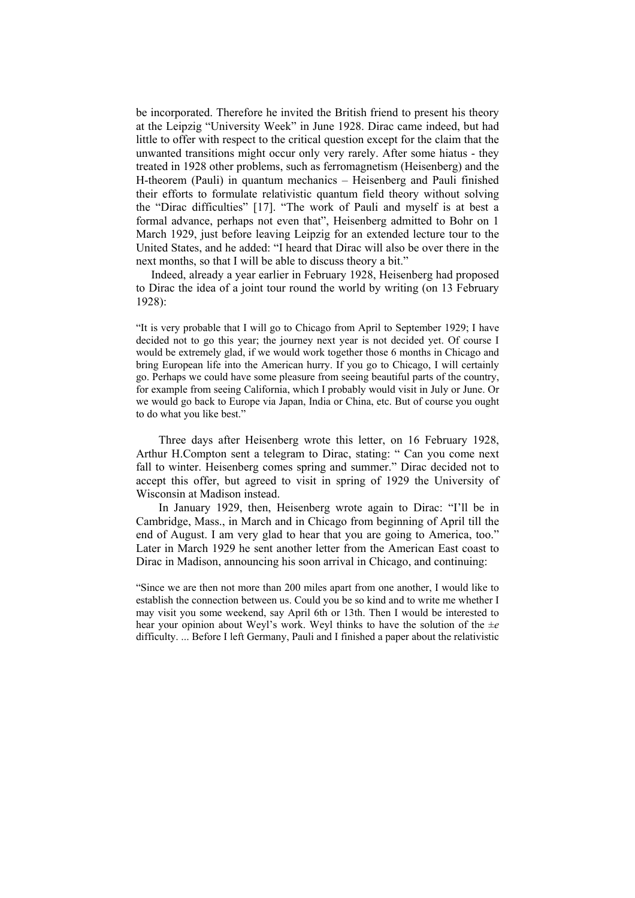be incorporated. Therefore he invited the British friend to present his theory at the Leipzig "University Week" in June 1928. Dirac came indeed, but had little to offer with respect to the critical question except for the claim that the unwanted transitions might occur only very rarely. After some hiatus - they treated in 1928 other problems, such as ferromagnetism (Heisenberg) and the H-theorem (Pauli) in quantum mechanics - Heisenberg and Pauli finished their efforts to formulate relativistic quantum field theory without solving the "Dirac difficulties" [17]. "The work of Pauli and myself is at best a formal advance, perhaps not even that", Heisenberg admitted to Bohr on 1 March 1929, just before leaving Leipzig for an extended lecture tour to the United States, and he added: "I heard that Dirac will also be over there in the next months, so that I will be able to discuss theory a bit."

Indeed, already a year earlier in February 1928, Heisenberg had proposed to Dirac the idea of a joint tour round the world by writing (on 13 February 1928):

"It is very probable that I will go to Chicago from April to September 1929; I have decided not to go this year; the journey next year is not decided yet. Of course I would be extremely glad, if we would work together those 6 months in Chicago and bring European life into the American hurry. If you go to Chicago, I will certainly go. Perhaps we could have some pleasure from seeing beautiful parts of the country, for example from seeing California, which I probably would visit in July or June. Or we would go back to Europe via Japan, India or China, etc. But of course you ought to do what you like best."

Three days after Heisenberg wrote this letter, on 16 February 1928, Arthur H.Compton sent a telegram to Dirac, stating: " Can you come next fall to winter. Heisenberg comes spring and summer." Dirac decided not to accept this offer, but agreed to visit in spring of 1929 the University of Wisconsin at Madison instead.

In January 1929, then, Heisenberg wrote again to Dirac: "I'll be in Cambridge, Mass., in March and in Chicago from beginning of April till the end of August. I am very glad to hear that you are going to America, too.<sup>"</sup> Later in March 1929 he sent another letter from the American East coast to Dirac in Madison, announcing his soon arrival in Chicago, and continuing:

ìSince we are then not more than 200 miles apart from one another, I would like to establish the connection between us. Could you be so kind and to write me whether I may visit you some weekend, say April 6th or 13th. Then I would be interested to hear your opinion about Weyl's work. Weyl thinks to have the solution of the  $\pm e$ difficulty. ... Before I left Germany, Pauli and I finished a paper about the relativistic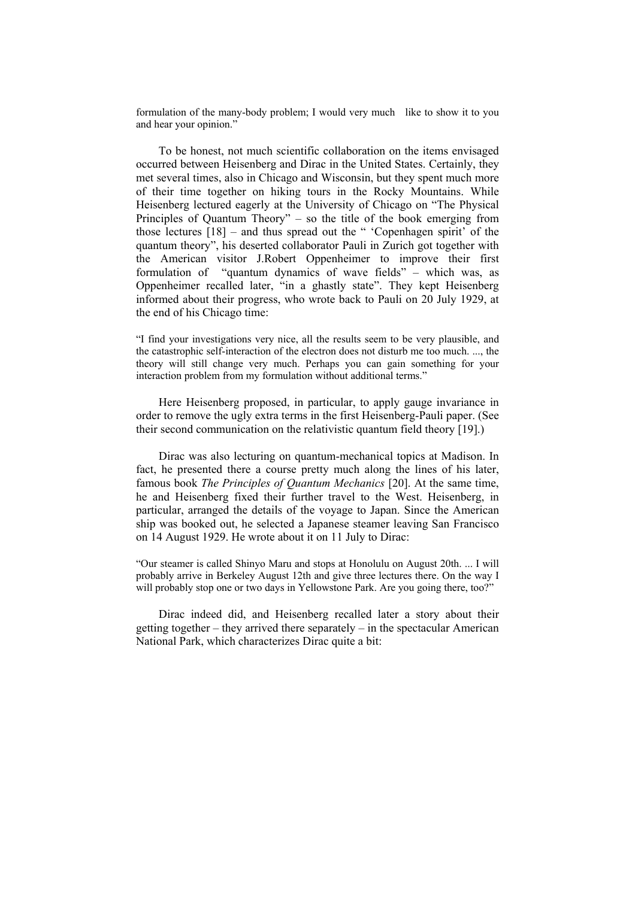formulation of the many-body problem; I would very much like to show it to you and hear your opinion."

To be honest, not much scientific collaboration on the items envisaged occurred between Heisenberg and Dirac in the United States. Certainly, they met several times, also in Chicago and Wisconsin, but they spent much more of their time together on hiking tours in the Rocky Mountains. While Heisenberg lectured eagerly at the University of Chicago on "The Physical Principles of Quantum Theory<sup>"</sup> – so the title of the book emerging from those lectures  $[18]$  – and thus spread out the " 'Copenhagen spirit' of the quantum theory", his deserted collaborator Pauli in Zurich got together with the American visitor J.Robert Oppenheimer to improve their first formulation of "quantum dynamics of wave fields"  $-$  which was, as Oppenheimer recalled later, "in a ghastly state". They kept Heisenberg informed about their progress, who wrote back to Pauli on 20 July 1929, at the end of his Chicago time:

ìI find your investigations very nice, all the results seem to be very plausible, and the catastrophic self-interaction of the electron does not disturb me too much. ..., the theory will still change very much. Perhaps you can gain something for your interaction problem from my formulation without additional terms."

Here Heisenberg proposed, in particular, to apply gauge invariance in order to remove the ugly extra terms in the first Heisenberg-Pauli paper. (See their second communication on the relativistic quantum field theory [19].)

Dirac was also lecturing on quantum-mechanical topics at Madison. In fact, he presented there a course pretty much along the lines of his later, famous book *The Principles of Quantum Mechanics* [20]. At the same time, he and Heisenberg fixed their further travel to the West. Heisenberg, in particular, arranged the details of the voyage to Japan. Since the American ship was booked out, he selected a Japanese steamer leaving San Francisco on 14 August 1929. He wrote about it on 11 July to Dirac:

ìOur steamer is called Shinyo Maru and stops at Honolulu on August 20th. ... I will probably arrive in Berkeley August 12th and give three lectures there. On the way I will probably stop one or two days in Yellowstone Park. Are you going there, too?"

Dirac indeed did, and Heisenberg recalled later a story about their getting together – they arrived there separately – in the spectacular American National Park, which characterizes Dirac quite a bit: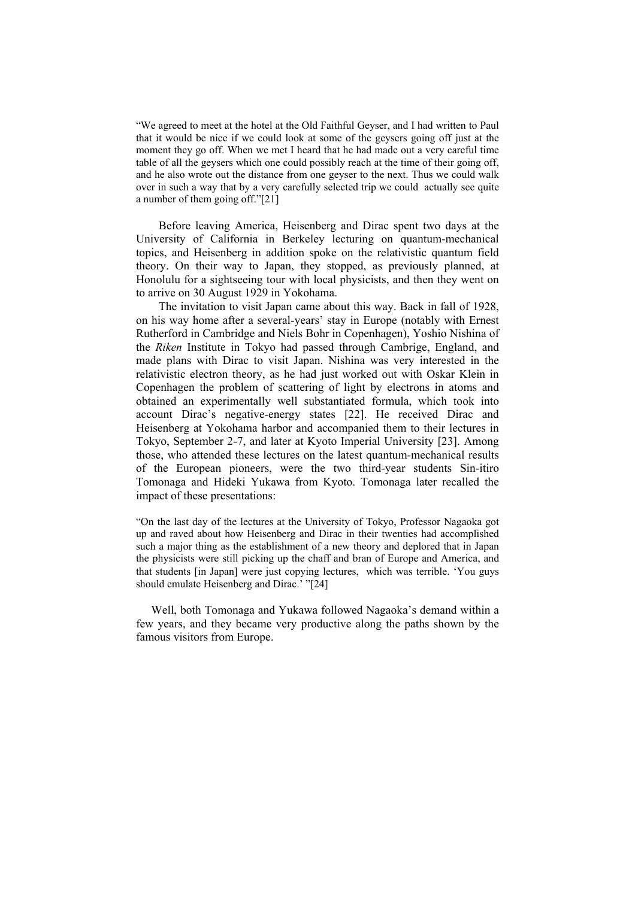ìWe agreed to meet at the hotel at the Old Faithful Geyser, and I had written to Paul that it would be nice if we could look at some of the geysers going off just at the moment they go off. When we met I heard that he had made out a very careful time table of all the geysers which one could possibly reach at the time of their going off, and he also wrote out the distance from one geyser to the next. Thus we could walk over in such a way that by a very carefully selected trip we could actually see quite a number of them going off. $[21]$ 

Before leaving America, Heisenberg and Dirac spent two days at the University of California in Berkeley lecturing on quantum-mechanical topics, and Heisenberg in addition spoke on the relativistic quantum field theory. On their way to Japan, they stopped, as previously planned, at Honolulu for a sightseeing tour with local physicists, and then they went on to arrive on 30 August 1929 in Yokohama.

The invitation to visit Japan came about this way. Back in fall of 1928, on his way home after a several-years' stay in Europe (notably with Ernest Rutherford in Cambridge and Niels Bohr in Copenhagen), Yoshio Nishina of the *Riken* Institute in Tokyo had passed through Cambrige, England, and made plans with Dirac to visit Japan. Nishina was very interested in the relativistic electron theory, as he had just worked out with Oskar Klein in Copenhagen the problem of scattering of light by electrons in atoms and obtained an experimentally well substantiated formula, which took into account Dirac's negative-energy states [22]. He received Dirac and Heisenberg at Yokohama harbor and accompanied them to their lectures in Tokyo, September 2-7, and later at Kyoto Imperial University [23]. Among those, who attended these lectures on the latest quantum-mechanical results of the European pioneers, were the two third-year students Sin-itiro Tomonaga and Hideki Yukawa from Kyoto. Tomonaga later recalled the impact of these presentations:

ìOn the last day of the lectures at the University of Tokyo, Professor Nagaoka got up and raved about how Heisenberg and Dirac in their twenties had accomplished such a major thing as the establishment of a new theory and deplored that in Japan the physicists were still picking up the chaff and bran of Europe and America, and that students [in Japan] were just copying lectures, which was terrible. 'You guys should emulate Heisenberg and Dirac.' "[24]

Well, both Tomonaga and Yukawa followed Nagaoka's demand within a few years, and they became very productive along the paths shown by the famous visitors from Europe.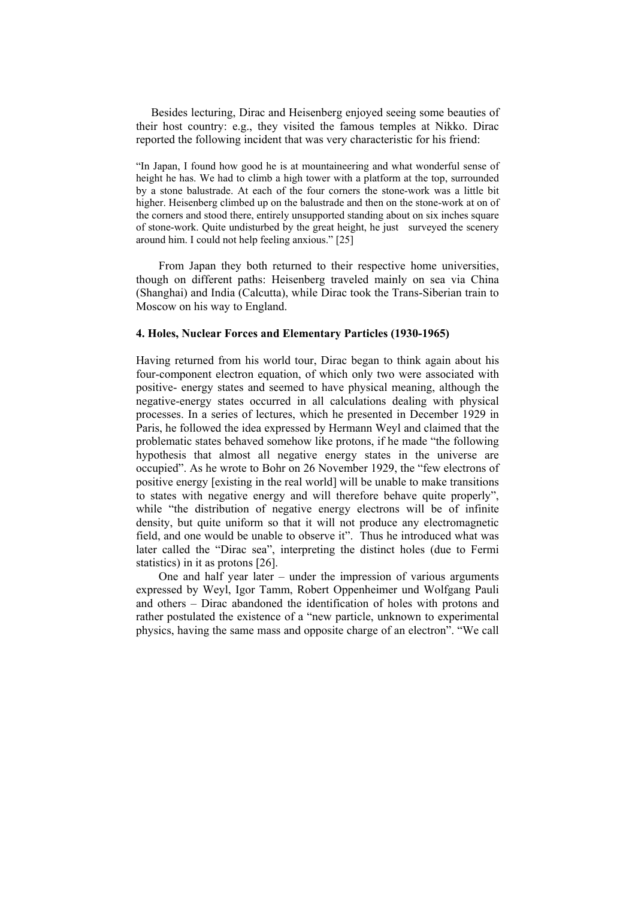Besides lecturing, Dirac and Heisenberg enjoyed seeing some beauties of their host country: e.g., they visited the famous temples at Nikko. Dirac reported the following incident that was very characteristic for his friend:

"In Japan, I found how good he is at mountaineering and what wonderful sense of height he has. We had to climb a high tower with a platform at the top, surrounded by a stone balustrade. At each of the four corners the stone-work was a little bit higher. Heisenberg climbed up on the balustrade and then on the stone-work at on of the corners and stood there, entirely unsupported standing about on six inches square of stone-work. Quite undisturbed by the great height, he just surveyed the scenery around him. I could not help feeling anxious."  $[25]$ 

From Japan they both returned to their respective home universities, though on different paths: Heisenberg traveled mainly on sea via China (Shanghai) and India (Calcutta), while Dirac took the Trans-Siberian train to Moscow on his way to England.

# **4. Holes, Nuclear Forces and Elementary Particles (1930-1965)**

Having returned from his world tour, Dirac began to think again about his four-component electron equation, of which only two were associated with positive- energy states and seemed to have physical meaning, although the negative-energy states occurred in all calculations dealing with physical processes. In a series of lectures, which he presented in December 1929 in Paris, he followed the idea expressed by Hermann Weyl and claimed that the problematic states behaved somehow like protons, if he made "the following" hypothesis that almost all negative energy states in the universe are occupied". As he wrote to Bohr on 26 November 1929, the "few electrons of positive energy [existing in the real world] will be unable to make transitions to states with negative energy and will therefore behave quite properly", while "the distribution of negative energy electrons will be of infinite density, but quite uniform so that it will not produce any electromagnetic field, and one would be unable to observe it". Thus he introduced what was later called the "Dirac sea", interpreting the distinct holes (due to Fermi statistics) in it as protons [26].

One and half year later  $-$  under the impression of various arguments expressed by Weyl, Igor Tamm, Robert Oppenheimer und Wolfgang Pauli and others – Dirac abandoned the identification of holes with protons and rather postulated the existence of a "new particle, unknown to experimental physics, having the same mass and opposite charge of an electron". "We call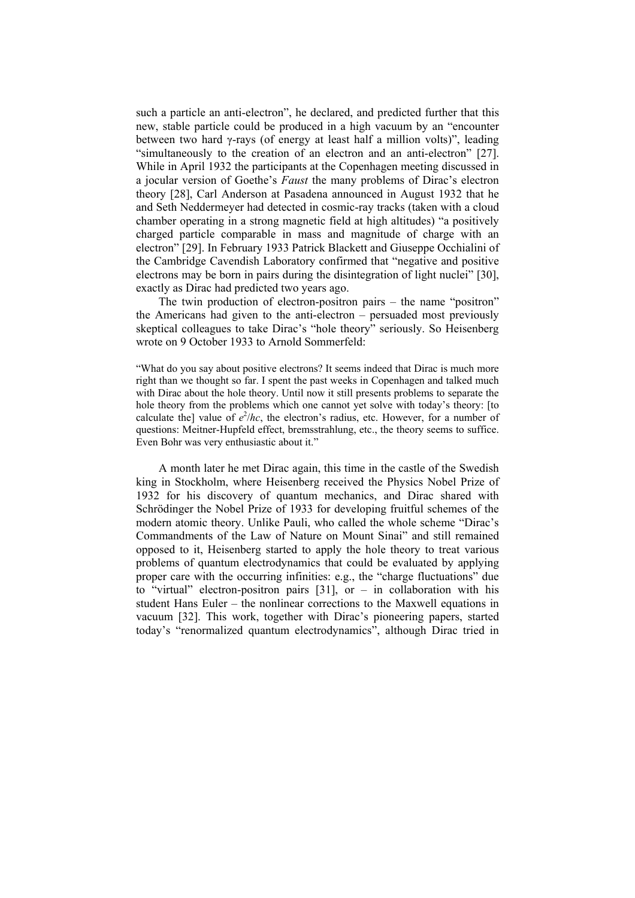such a particle an anti-electron", he declared, and predicted further that this new, stable particle could be produced in a high vacuum by an "encounter" between two hard  $\gamma$ -rays (of energy at least half a million volts)", leading "simultaneously to the creation of an electron and an anti-electron" [27]. While in April 1932 the participants at the Copenhagen meeting discussed in a jocular version of Goethe's *Faust* the many problems of Dirac's electron theory [28], Carl Anderson at Pasadena announced in August 1932 that he and Seth Neddermeyer had detected in cosmic-ray tracks (taken with a cloud chamber operating in a strong magnetic field at high altitudes) "a positively charged particle comparable in mass and magnitude of charge with an electronî [29]. In February 1933 Patrick Blackett and Giuseppe Occhialini of the Cambridge Cavendish Laboratory confirmed that "negative and positive" electrons may be born in pairs during the disintegration of light nuclei" [30], exactly as Dirac had predicted two years ago.

The twin production of electron-positron pairs  $-$  the name "positron" the Americans had given to the anti-electron  $-$  persuaded most previously skeptical colleagues to take Dirac's "hole theory" seriously. So Heisenberg wrote on 9 October 1933 to Arnold Sommerfeld:

ìWhat do you say about positive electrons? It seems indeed that Dirac is much more right than we thought so far. I spent the past weeks in Copenhagen and talked much with Dirac about the hole theory. Until now it still presents problems to separate the hole theory from the problems which one cannot yet solve with today's theory: [to calculate the] value of  $e^2/hc$ , the electron's radius, etc. However, for a number of questions: Meitner-Hupfeld effect, bremsstrahlung, etc., the theory seems to suffice. Even Bohr was very enthusiastic about it."

A month later he met Dirac again, this time in the castle of the Swedish king in Stockholm, where Heisenberg received the Physics Nobel Prize of 1932 for his discovery of quantum mechanics, and Dirac shared with Schrödinger the Nobel Prize of 1933 for developing fruitful schemes of the modern atomic theory. Unlike Pauli, who called the whole scheme "Dirac's Commandments of the Law of Nature on Mount Sinai" and still remained opposed to it, Heisenberg started to apply the hole theory to treat various problems of quantum electrodynamics that could be evaluated by applying proper care with the occurring infinities: e.g., the "charge fluctuations" due to "virtual" electron-positron pairs  $[31]$ , or  $-$  in collaboration with his student Hans Euler  $-$  the nonlinear corrections to the Maxwell equations in vacuum [32]. This work, together with Dirac's pioneering papers, started today's "renormalized quantum electrodynamics", although Dirac tried in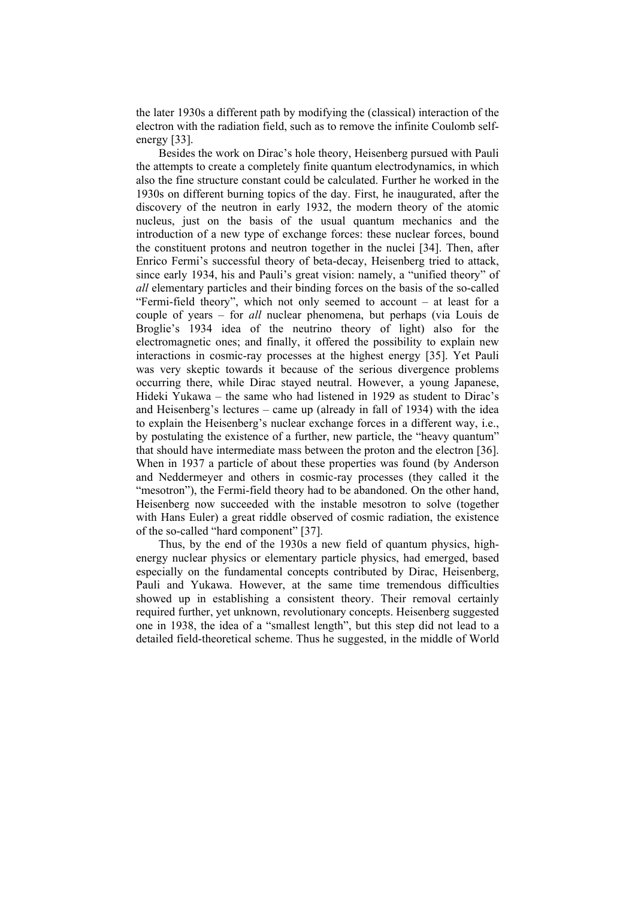the later 1930s a different path by modifying the (classical) interaction of the electron with the radiation field, such as to remove the infinite Coulomb selfenergy [33].

Besides the work on Dirac's hole theory, Heisenberg pursued with Pauli the attempts to create a completely finite quantum electrodynamics, in which also the fine structure constant could be calculated. Further he worked in the 1930s on different burning topics of the day. First, he inaugurated, after the discovery of the neutron in early 1932, the modern theory of the atomic nucleus, just on the basis of the usual quantum mechanics and the introduction of a new type of exchange forces: these nuclear forces, bound the constituent protons and neutron together in the nuclei [34]. Then, after Enrico Fermi's successful theory of beta-decay, Heisenberg tried to attack, since early 1934, his and Pauli's great vision: namely, a "unified theory" of *all* elementary particles and their binding forces on the basis of the so-called "Fermi-field theory", which not only seemed to account  $-$  at least for a couple of years – for *all* nuclear phenomena, but perhaps (via Louis de Broglie's 1934 idea of the neutrino theory of light) also for the electromagnetic ones; and finally, it offered the possibility to explain new interactions in cosmic-ray processes at the highest energy [35]. Yet Pauli was very skeptic towards it because of the serious divergence problems occurring there, while Dirac stayed neutral. However, a young Japanese, Hideki Yukawa – the same who had listened in 1929 as student to Dirac's and Heisenberg's lectures  $-$  came up (already in fall of 1934) with the idea to explain the Heisenberg's nuclear exchange forces in a different way, i.e., by postulating the existence of a further, new particle, the "heavy quantum" that should have intermediate mass between the proton and the electron [36]. When in 1937 a particle of about these properties was found (by Anderson and Neddermeyer and others in cosmic-ray processes (they called it the "mesotron"), the Fermi-field theory had to be abandoned. On the other hand, Heisenberg now succeeded with the instable mesotron to solve (together with Hans Euler) a great riddle observed of cosmic radiation, the existence of the so-called "hard component" [37].

Thus, by the end of the 1930s a new field of quantum physics, highenergy nuclear physics or elementary particle physics, had emerged, based especially on the fundamental concepts contributed by Dirac, Heisenberg, Pauli and Yukawa. However, at the same time tremendous difficulties showed up in establishing a consistent theory. Their removal certainly required further, yet unknown, revolutionary concepts. Heisenberg suggested one in 1938, the idea of a "smallest length", but this step did not lead to a detailed field-theoretical scheme. Thus he suggested, in the middle of World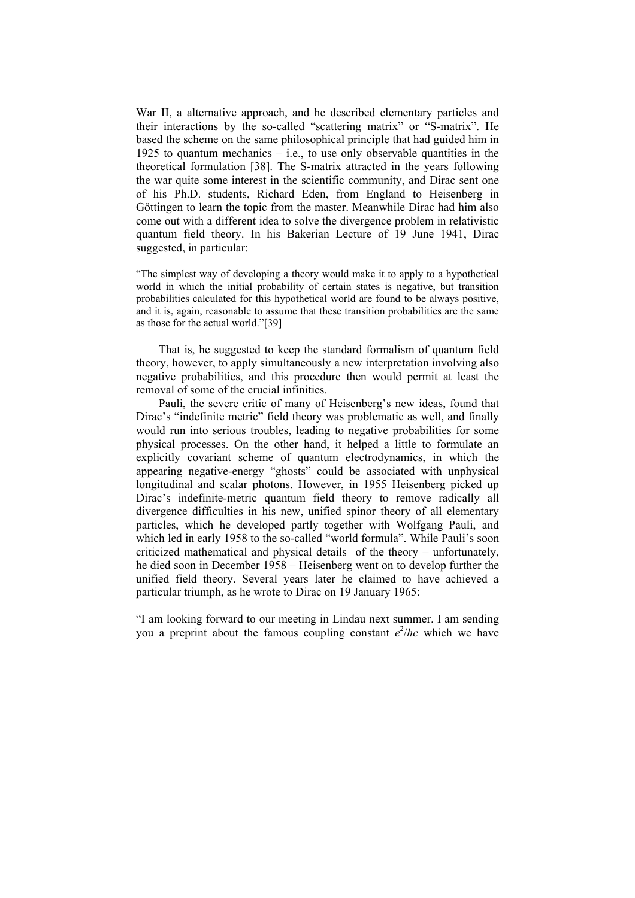War II, a alternative approach, and he described elementary particles and their interactions by the so-called "scattering matrix" or "S-matrix". He based the scheme on the same philosophical principle that had guided him in 1925 to quantum mechanics  $-$  i.e., to use only observable quantities in the theoretical formulation [38]. The S-matrix attracted in the years following the war quite some interest in the scientific community, and Dirac sent one of his Ph.D. students, Richard Eden, from England to Heisenberg in Göttingen to learn the topic from the master. Meanwhile Dirac had him also come out with a different idea to solve the divergence problem in relativistic quantum field theory. In his Bakerian Lecture of 19 June 1941, Dirac suggested, in particular:

ìThe simplest way of developing a theory would make it to apply to a hypothetical world in which the initial probability of certain states is negative, but transition probabilities calculated for this hypothetical world are found to be always positive, and it is, again, reasonable to assume that these transition probabilities are the same as those for the actual world.<sup>7</sup>[39]

That is, he suggested to keep the standard formalism of quantum field theory, however, to apply simultaneously a new interpretation involving also negative probabilities, and this procedure then would permit at least the removal of some of the crucial infinities.

Pauli, the severe critic of many of Heisenberg's new ideas, found that Dirac's "indefinite metric" field theory was problematic as well, and finally would run into serious troubles, leading to negative probabilities for some physical processes. On the other hand, it helped a little to formulate an explicitly covariant scheme of quantum electrodynamics, in which the appearing negative-energy "ghosts" could be associated with unphysical longitudinal and scalar photons. However, in 1955 Heisenberg picked up Dirac's indefinite-metric quantum field theory to remove radically all divergence difficulties in his new, unified spinor theory of all elementary particles, which he developed partly together with Wolfgang Pauli, and which led in early 1958 to the so-called "world formula". While Pauli's soon criticized mathematical and physical details of the theory  $-$  unfortunately, he died soon in December 1958 – Heisenberg went on to develop further the unified field theory. Several years later he claimed to have achieved a particular triumph, as he wrote to Dirac on 19 January 1965:

ìI am looking forward to our meeting in Lindau next summer. I am sending you a preprint about the famous coupling constant  $e^2/hc$  which we have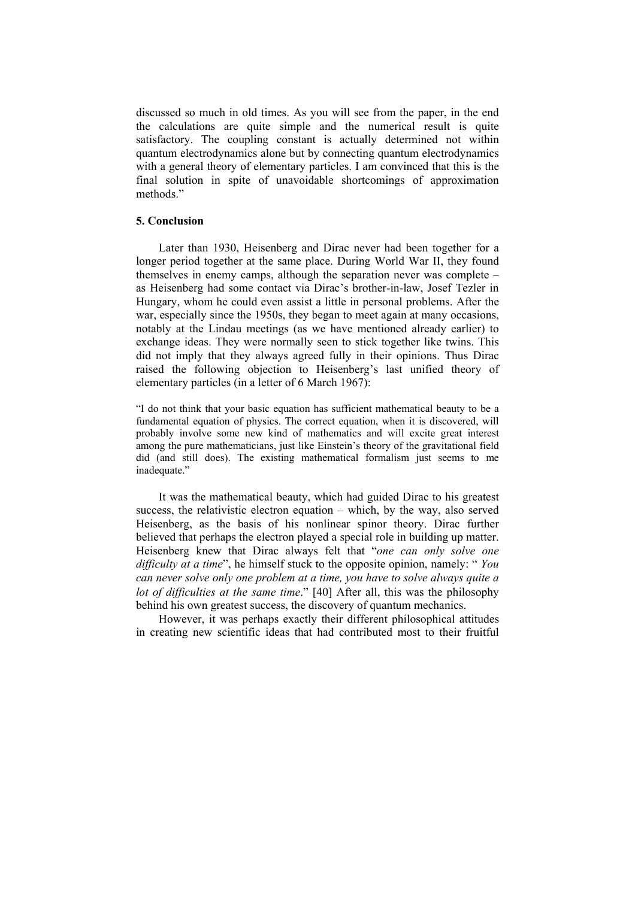discussed so much in old times. As you will see from the paper, in the end the calculations are quite simple and the numerical result is quite satisfactory. The coupling constant is actually determined not within quantum electrodynamics alone but by connecting quantum electrodynamics with a general theory of elementary particles. I am convinced that this is the final solution in spite of unavoidable shortcomings of approximation methods."

## **5. Conclusion**

Later than 1930, Heisenberg and Dirac never had been together for a longer period together at the same place. During World War II, they found themselves in enemy camps, although the separation never was complete  $$ as Heisenberg had some contact via Dirac's brother-in-law, Josef Tezler in Hungary, whom he could even assist a little in personal problems. After the war, especially since the 1950s, they began to meet again at many occasions, notably at the Lindau meetings (as we have mentioned already earlier) to exchange ideas. They were normally seen to stick together like twins. This did not imply that they always agreed fully in their opinions. Thus Dirac raised the following objection to Heisenberg's last unified theory of elementary particles (in a letter of 6 March 1967):

"I do not think that your basic equation has sufficient mathematical beauty to be a fundamental equation of physics. The correct equation, when it is discovered, will probably involve some new kind of mathematics and will excite great interest among the pure mathematicians, just like Einstein's theory of the gravitational field did (and still does). The existing mathematical formalism just seems to me inadequate."

It was the mathematical beauty, which had guided Dirac to his greatest success, the relativistic electron equation  $-$  which, by the way, also served Heisenberg, as the basis of his nonlinear spinor theory. Dirac further believed that perhaps the electron played a special role in building up matter. Heisenberg knew that Dirac always felt that "one can only solve one *difficulty at a time*", he himself stuck to the opposite opinion, namely: "You *can never solve only one problem at a time, you have to solve always quite a lot of difficulties at the same time.*" [40] After all, this was the philosophy behind his own greatest success, the discovery of quantum mechanics.

However, it was perhaps exactly their different philosophical attitudes in creating new scientific ideas that had contributed most to their fruitful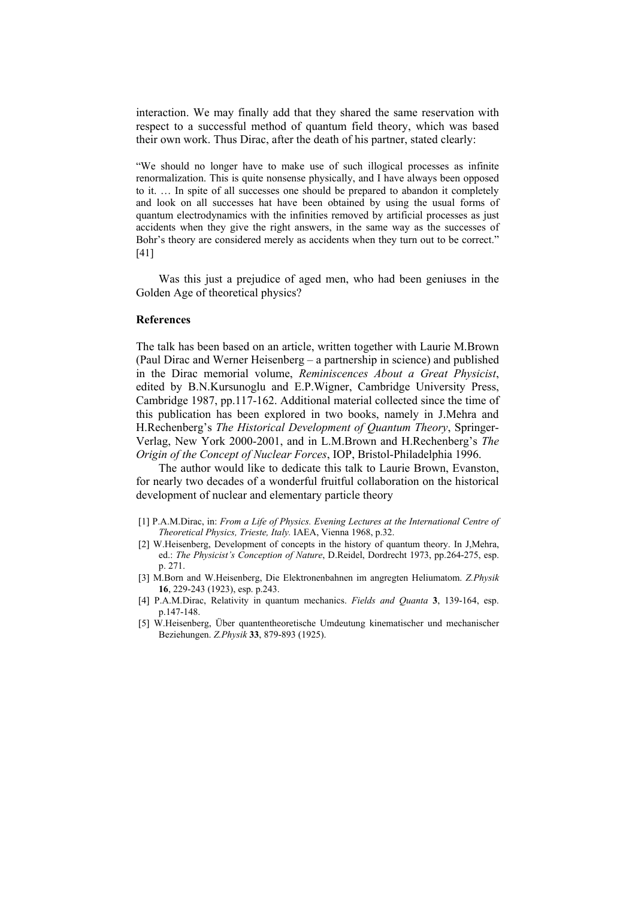interaction. We may finally add that they shared the same reservation with respect to a successful method of quantum field theory, which was based their own work. Thus Dirac, after the death of his partner, stated clearly:

ìWe should no longer have to make use of such illogical processes as infinite renormalization. This is quite nonsense physically, and I have always been opposed to it.  $\ldots$  In spite of all successes one should be prepared to abandon it completely and look on all successes hat have been obtained by using the usual forms of quantum electrodynamics with the infinities removed by artificial processes as just accidents when they give the right answers, in the same way as the successes of Bohr's theory are considered merely as accidents when they turn out to be correct." [41]

Was this just a prejudice of aged men, who had been geniuses in the Golden Age of theoretical physics?

### **References**

The talk has been based on an article, written together with Laurie M.Brown (Paul Dirac and Werner Heisenberg  $-$  a partnership in science) and published in the Dirac memorial volume, *Reminiscences About a Great Physicist*, edited by B.N.Kursunoglu and E.P.Wigner, Cambridge University Press, Cambridge 1987, pp.117-162. Additional material collected since the time of this publication has been explored in two books, namely in J.Mehra and H.Rechenbergís *The Historical Development of Quantum Theory*, Springer-Verlag, New York 2000-2001, and in L.M.Brown and H.Rechenberg's *The Origin of the Concept of Nuclear Forces*, IOP, Bristol-Philadelphia 1996.

The author would like to dedicate this talk to Laurie Brown, Evanston, for nearly two decades of a wonderful fruitful collaboration on the historical development of nuclear and elementary particle theory

- [1] P.A.M.Dirac, in: *From a Life of Physics. Evening Lectures at the International Centre of Theoretical Physics, Trieste, Italy.* IAEA, Vienna 1968, p.32.
- [2] W.Heisenberg, Development of concepts in the history of quantum theory. In J.Mehra, ed.: *The Physicist's Conception of Nature*, D.Reidel, Dordrecht 1973, pp.264-275, esp. p. 271.
- [3] M.Born and W.Heisenberg, Die Elektronenbahnen im angregten Heliumatom. *Z.Physik* **16**, 229-243 (1923), esp. p.243.
- [4] P.A.M.Dirac, Relativity in quantum mechanics. *Fields and Quanta* **3**, 139-164, esp. p.147-148.
- [5] W.Heisenberg, Über quantentheoretische Umdeutung kinematischer und mechanischer Beziehungen. *Z.Physik* **33**, 879-893 (1925).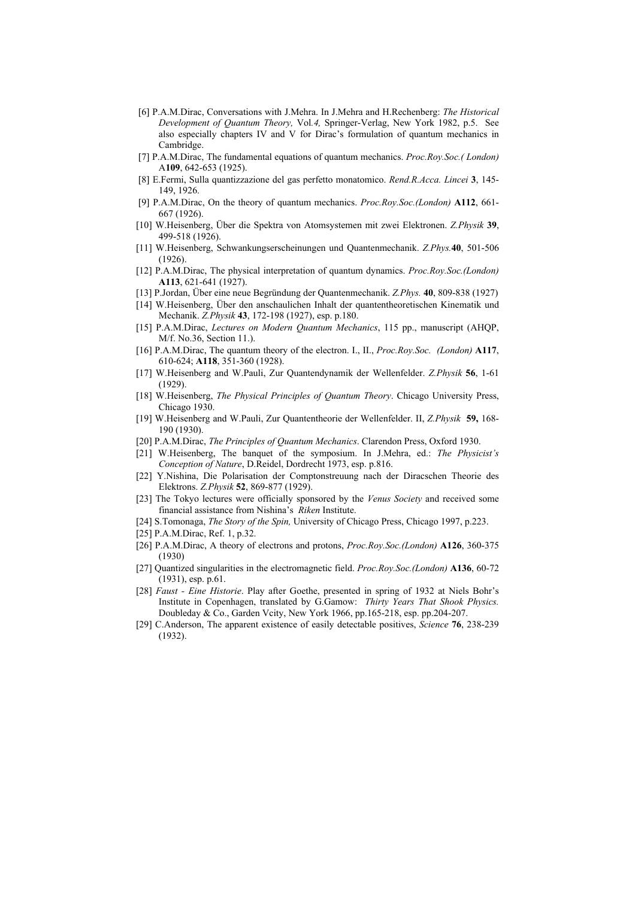- [6] P.A.M.Dirac, Conversations with J.Mehra. In J.Mehra and H.Rechenberg: *The Historical Development of Quantum Theory,* Vol*.4,* Springer-Verlag, New York 1982, p.5. See also especially chapters IV and V for Dirac's formulation of quantum mechanics in Cambridge.
- [7] P.A.M.Dirac, The fundamental equations of quantum mechanics. *Proc.Roy.Soc.( London)* A**109**, 642-653 (1925).
- [8] E.Fermi, Sulla quantizzazione del gas perfetto monatomico. *Rend.R.Acca. Lincei* **3**, 145- 149, 1926.
- [9] P.A.M.Dirac, On the theory of quantum mechanics. *Proc.Roy.Soc.(London)* **A112**, 661- 667 (1926).
- [10] W.Heisenberg, ‹ber die Spektra von Atomsystemen mit zwei Elektronen. *Z.Physik* **39**, 499-518 (1926).
- [11] W.Heisenberg, Schwankungserscheinungen und Quantenmechanik. *Z.Phys.***40**, 501-506 (1926).
- [12] P.A.M.Dirac, The physical interpretation of quantum dynamics. *Proc.Roy.Soc.(London)*  **A113**, 621-641 (1927).
- [13] P.Jordan, Über eine neue Begründung der Quantenmechanik. *Z.Phys.* **40**, 809-838 (1927)
- [14] W.Heisenberg, Über den anschaulichen Inhalt der quantentheoretischen Kinematik und Mechanik. *Z.Physik* **43**, 172-198 (1927), esp. p.180.
- [15] P.A.M.Dirac, *Lectures on Modern Quantum Mechanics*, 115 pp., manuscript (AHQP, M/f. No.36, Section 11.).
- [16] P.A.M.Dirac, The quantum theory of the electron. I., II., *Proc.Roy.Soc. (London)* **A117**, 610-624; **A118**, 351-360 (1928).
- [17] W.Heisenberg and W.Pauli, Zur Quantendynamik der Wellenfelder. *Z.Physik* **56**, 1-61 (1929).
- [18] W.Heisenberg, *The Physical Principles of Quantum Theory*. Chicago University Press, Chicago 1930.
- [19] W.Heisenberg and W.Pauli, Zur Quantentheorie der Wellenfelder. II, *Z.Physik* **59,** 168- 190 (1930).
- [20] P.A.M.Dirac, *The Principles of Quantum Mechanics*. Clarendon Press, Oxford 1930.
- [21] W.Heisenberg, The banquet of the symposium. In J.Mehra, ed.: *The Physicist's Conception of Nature*, D.Reidel, Dordrecht 1973, esp. p.816.
- [22] Y.Nishina, Die Polarisation der Comptonstreuung nach der Diracschen Theorie des Elektrons. *Z.Physik* **52**, 869-877 (1929).
- [23] The Tokyo lectures were officially sponsored by the *Venus Society* and received some financial assistance from Nishinaís *Riken* Institute.
- [24] S.Tomonaga, *The Story of the Spin,* University of Chicago Press, Chicago 1997, p.223.
- [25] P.A.M.Dirac, Ref. 1, p.32.
- [26] P.A.M.Dirac, A theory of electrons and protons, *Proc.Roy.Soc.(London)* **A126**, 360-375 (1930)
- [27] Quantized singularities in the electromagnetic field. *Proc.Roy.Soc.(London)* **A136**, 60-72 (1931), esp. p.61.
- [28] *Faust Eine Historie*. Play after Goethe, presented in spring of 1932 at Niels Bohr's Institute in Copenhagen, translated by G.Gamow: *Thirty Years That Shook Physics.*  Doubleday & Co., Garden Vcity, New York 1966, pp.165-218, esp. pp.204-207.
- [29] C.Anderson, The apparent existence of easily detectable positives, *Science* **76**, 238-239 (1932).